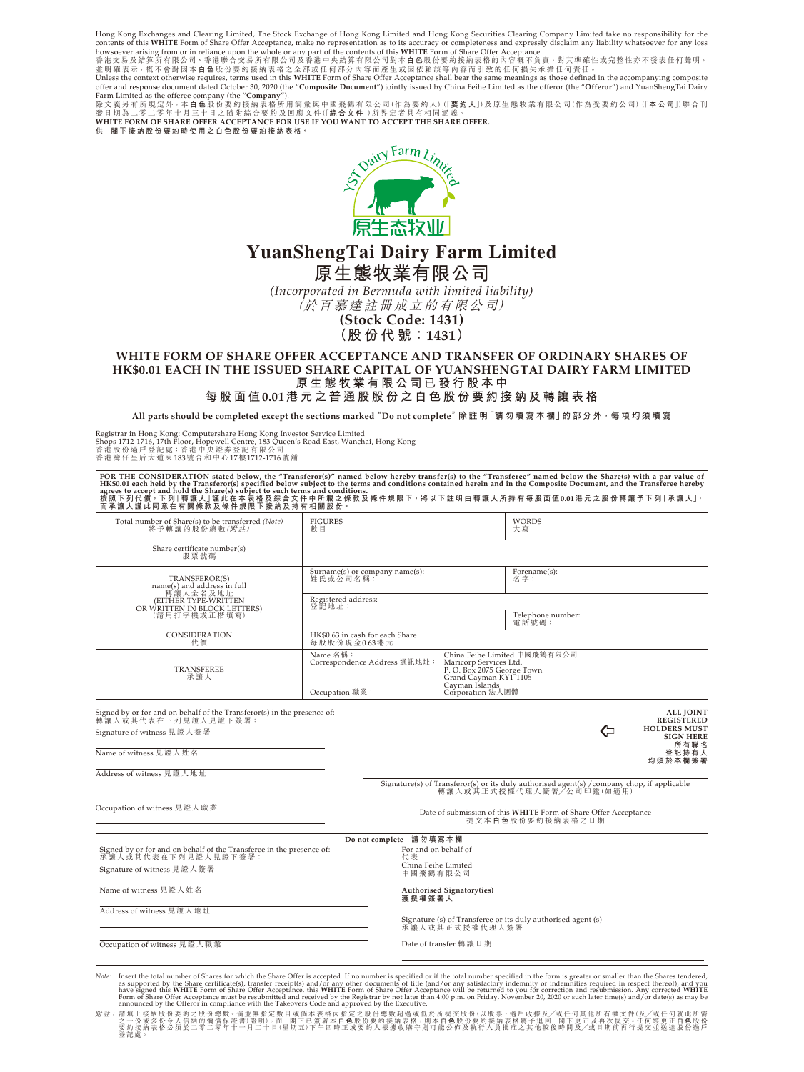Hong Kong Exchanges and Clearing Limited, The Stock Exchange of Hong Kong Limited and Hong Kong Securities Clearing Company Limited take no responsibility for the<br>contents of this WHITE Form of Share Offer Acceptance, make

howsoever arising from or in reliance upon the whole or any part of the contents of this WHITE Form of Share Offer Acceptance.<br>香港交易及結算所有限公司、香港聯合交易所有限公司及香港中央结算有限公司對本自色股份要約接納表格的内容概不良責,對其準確性或完整性亦不發表任何聲明,<br>並明確表示,概不會對因本自色股份要約接納

Unless the context otherwise requires, terms used in this **WHITE** Form of Share Offer Acceptance shall bear the same meanings as those defined in the accompanying composite<br>offer and response document dated October 30, 202 Farm Limited as the offeree company (the "**Company**"). 除文義另有所規定外,本 **白 色** 股份要約接納表格所用詞彙與中國飛鶴有限公司(作為要約人)(「**要約人**」)及原生態牧業有限公司(作為受要約公司)(「**本公司**」)聯合刊

發日期為二零二零年十月三十日之隨附綜合要約及回應文件(I歸<mark>合文件</mark>J)所界定者具有相同涵義。<br>WHITE FORM OF SHARE OFFER ACCEPTANCE FOR USE IF YOU WANT TO ACCEPT THE SHARE OFFER.

**供 閣下接納股份要約時使用之白色股份要約接納表格。**



# **YuanShengTai Dairy Farm Limited 原生態牧業有限公司**

*(Incorporated in Bermuda with limited liability)* (於百慕達註冊成立的有限公司)

**(Stock Code: 1431) (股份代號:1431)**

## **WHITE FORM OF SHARE OFFER ACCEPTANCE AND TRANSFER OF ORDINARY SHARES OF HK\$0.01 EACH IN THE ISSUED SHARE CAPITAL OF YUANSHENGTAI DAIRY FARM LIMITED 原生態牧業有限公司已發行股本中**

**每股面值0.01港元之普通股股份之白色股份要約接納及轉讓表格**

**All parts should be completed except the sections marked "Do not complete"除 註 明「請 勿 填 寫 本 欄」的 部 分 外,每 項 均 須 填 寫**

Registrar in Hong Kong: Computershare Hong Kong Investor Service Limited<br>Shops 1712-1716, 17th Floor, Hopewell Centre, 183 Queen's Road East, Wanchai, Hong Kong<br>香港股份過戶登記處: 香港中央證券登記有限公司<br>香港灣仔皇后大道東183號合和中心17樓1712-1716號舖

| FOR THE CONSIDERATION stated below, the "Transferor(s)" named below hereby transfer(s) to the "Transferee" named below the Share(s) with a par value of<br>HK\$0.01 each held by the Transferor(s) specified below subject to the terms and conditions contained herein and in the Composite Document, and the Transferee hereby<br>-agrees to accept and hold the Share(s) subject to such terms and conditions.<br>agrees to accept and hold the Share(s) subject to such terms and conditions.<br>按照下列代價 ·下列「轉讓人」謹此在本表格及綜合文件中所載之條款及條件規限下 · 將以下註明由轉讓人所持有每股面值0.01港元之股份<br>而 承 讓 人 謹 此 同 意 在 有 關 條 款 及 條 件 規 限 下 接 納 及 持 有 相 關 股 份 。 |                                                                                                                                                                                                                  |                       |                                             |                                                                                                                         |   |                                                                                                              |
|--------------------------------------------------------------------------------------------------------------------------------------------------------------------------------------------------------------------------------------------------------------------------------------------------------------------------------------------------------------------------------------------------------------------------------------------------------------------------------------------------------------------------------------------------------------------------------------------------------------------------------------|------------------------------------------------------------------------------------------------------------------------------------------------------------------------------------------------------------------|-----------------------|---------------------------------------------|-------------------------------------------------------------------------------------------------------------------------|---|--------------------------------------------------------------------------------------------------------------|
| Total number of Share(s) to be transferred (Note)<br>將予轉讓的股份總數(附註)                                                                                                                                                                                                                                                                                                                                                                                                                                                                                                                                                                   | <b>FIGURES</b><br>數目                                                                                                                                                                                             |                       |                                             | <b>WORDS</b><br>大寫                                                                                                      |   |                                                                                                              |
| Share certificate number(s)<br>股票號碼                                                                                                                                                                                                                                                                                                                                                                                                                                                                                                                                                                                                  |                                                                                                                                                                                                                  |                       |                                             |                                                                                                                         |   |                                                                                                              |
| TRANSFEROR(S)<br>name(s) and address in full<br>轉讓人全名及地址<br>(EITHER TYPE-WRITTEN<br>OR WRITTEN IN BLOCK LETTERS)<br>(請用打字機或正楷填寫)                                                                                                                                                                                                                                                                                                                                                                                                                                                                                                     | Surname(s) or company name(s):<br>姓氏或公司名稱:                                                                                                                                                                       |                       |                                             | Forename(s):<br>名字:                                                                                                     |   |                                                                                                              |
|                                                                                                                                                                                                                                                                                                                                                                                                                                                                                                                                                                                                                                      | Registered address:                                                                                                                                                                                              |                       |                                             |                                                                                                                         |   |                                                                                                              |
|                                                                                                                                                                                                                                                                                                                                                                                                                                                                                                                                                                                                                                      | 登記地址:<br>電話號碼:                                                                                                                                                                                                   |                       |                                             | Telephone number:                                                                                                       |   |                                                                                                              |
| CONSIDERATION<br>代價                                                                                                                                                                                                                                                                                                                                                                                                                                                                                                                                                                                                                  | HK\$0.63 in cash for each Share<br>每股股份現金0.63港元                                                                                                                                                                  |                       |                                             |                                                                                                                         |   |                                                                                                              |
| TRANSFEREE<br>承讓人                                                                                                                                                                                                                                                                                                                                                                                                                                                                                                                                                                                                                    | Name 名稱:<br>China Feihe Limited 中國飛鶴有限公司<br>Correspondence Address 通訊地址:<br>Maricorp Services Ltd.<br>P.O. Box 2075 George Town<br>Grand Cayman KY1-1105<br>Cayman Islands<br>Corporation 法人團體<br>Occupation 職業: |                       |                                             |                                                                                                                         |   |                                                                                                              |
| Signed by or for and on behalf of the Transferor(s) in the presence of:<br>轉讓人或其代表在下列見證人見證下簽署:<br>Signature of witness 見證人簽署<br>Name of witness 見證人姓名<br>Address of witness 見證人地址                                                                                                                                                                                                                                                                                                                                                                                                                                                    |                                                                                                                                                                                                                  |                       |                                             |                                                                                                                         | ⇐ | <b>ALL JOINT</b><br><b>REGISTERED</b><br><b>HOLDERS MUST</b><br><b>SIGN HERE</b><br>所有聯名<br>登記持有人<br>均須於本欄簽署 |
|                                                                                                                                                                                                                                                                                                                                                                                                                                                                                                                                                                                                                                      |                                                                                                                                                                                                                  |                       |                                             | Signature(s) of Transferor(s) or its duly authorised agent(s) / company chop, if applicable<br>轉讓人或其正式授權代理人簽署/公司印鑑(如適用) |   |                                                                                                              |
| Occupation of witness 見證人職業<br>Date of submission of this WHITE Form of Share Offer Acceptance<br>提交本白色股份要約接纳表格之日期                                                                                                                                                                                                                                                                                                                                                                                                                                                                                                                   |                                                                                                                                                                                                                  |                       |                                             |                                                                                                                         |   |                                                                                                              |
|                                                                                                                                                                                                                                                                                                                                                                                                                                                                                                                                                                                                                                      |                                                                                                                                                                                                                  | Donot complete 請勿填寫本欄 |                                             |                                                                                                                         |   |                                                                                                              |
| Signed by or for and on behalf of the Transferee in the presence of:<br>承讓人或其代表在下列見證人見證下簽署:                                                                                                                                                                                                                                                                                                                                                                                                                                                                                                                                          |                                                                                                                                                                                                                  |                       | For and on behalf of<br>China Feihe Limited |                                                                                                                         |   |                                                                                                              |
| Signature of witness 見證人簽署<br>中國飛鶴有限公司                                                                                                                                                                                                                                                                                                                                                                                                                                                                                                                                                                                               |                                                                                                                                                                                                                  |                       |                                             |                                                                                                                         |   |                                                                                                              |
| Name of witness 見證人姓名                                                                                                                                                                                                                                                                                                                                                                                                                                                                                                                                                                                                                |                                                                                                                                                                                                                  |                       | Authorised Signatory(ies)<br>獲授權簽署人         |                                                                                                                         |   |                                                                                                              |
| Address of witness 見證人地址<br>Signature (s) of Transferee or its duly authorised agent (s)<br>承讓人或其正式授權代理人簽署                                                                                                                                                                                                                                                                                                                                                                                                                                                                                                                           |                                                                                                                                                                                                                  |                       |                                             |                                                                                                                         |   |                                                                                                              |
| Occupation of witness 見證人職業                                                                                                                                                                                                                                                                                                                                                                                                                                                                                                                                                                                                          |                                                                                                                                                                                                                  | Date of transfer 轉讓日期 |                                             |                                                                                                                         |   |                                                                                                              |
|                                                                                                                                                                                                                                                                                                                                                                                                                                                                                                                                                                                                                                      |                                                                                                                                                                                                                  |                       |                                             |                                                                                                                         |   |                                                                                                              |

Note: Insert the total number of Shares for which the Share Offer is accepted. If no number is specified or if the total number specified in the form is greater or smaller than the Shares tendered,<br>as supported by the Shar

附註: 請填上接納股份要約之股份總數。倘並無指定數目或倘本表格內指定之股份總數超過或低於所提交股份(以股票、過戶收據及╱或任何其他所有權文件(及╱或任何就此所需 之一份或多份令人信納的彌償保證書)證明),而 閣下已簽署本 **白 色** 股份要約接納表格,則本 **白 色** 股份要約接納表格將予退回 閣下更正及再次提交。任何經更正 **白 色** 股 份 要約接納表格必須於二零二零年十一月二十日(星期五)下午四時正或要約人根據收購守則可能公佈及執行人員批准之其他較後時間及╱或日期前再行提交並送達股份過戶 登記處。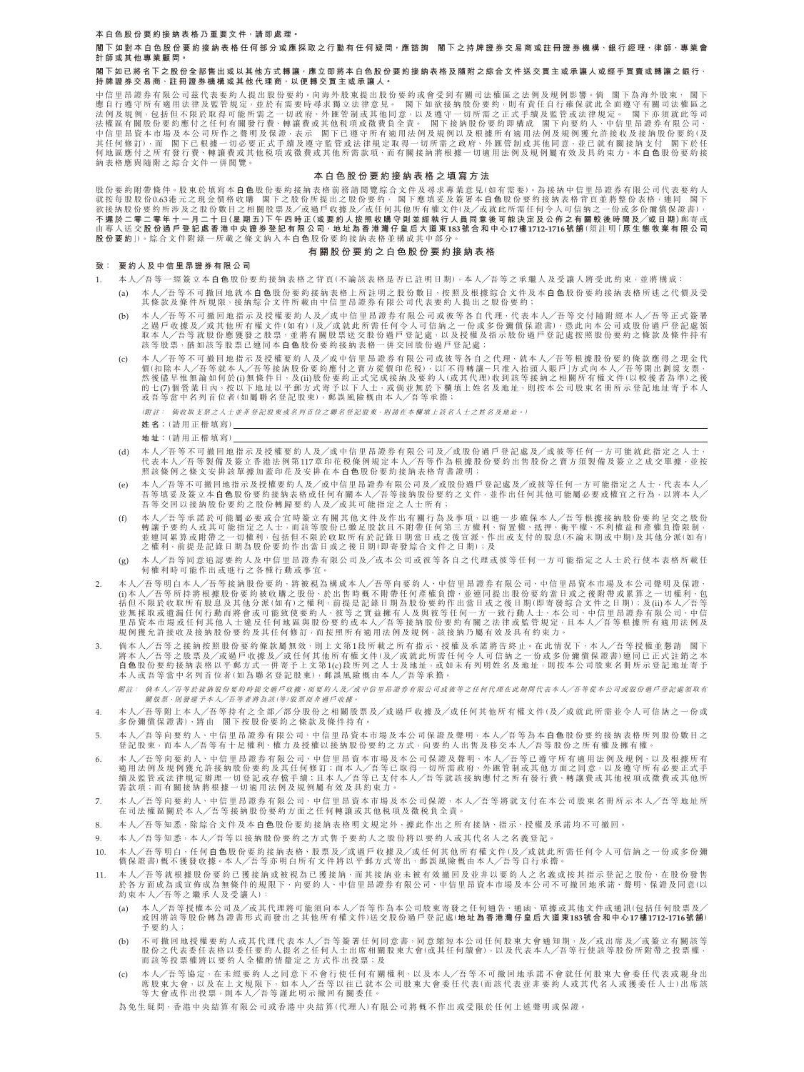**本白色股份要約接納表格乃重要文件,請即處理。**

**閣下如對本白色股份要約接納表格任何部分或應採取之行動有任何疑問,應諮詢 閣下之持牌證券交易商或註冊證券機構、銀行經理、律師、專業會 計師或其他專業顧問。**

#### **閣下如已將名下之股份全部售出或以其他方式轉讓,應立即將本白色股份要約接納表格及隨附之綜合文件送交買主或承讓人或經手買賣或轉讓之銀行、 持牌證券交易商、註冊證券機構或其他代理商,以便轉交買主或承讓人。**

中信里昂證券有限公司&代表要約人提出股份要約。向海外股東提出股份要約或曾受到有關司法權區之法例及規例影響。倘 閣下為海外股東, 閣下<br>應自行遵守所有適用法律及監管規定,並於有需要時尋求獨立法律意見。 閣下如欲接納股份要約,則有責任自行確保就此全可<br>法例及規例,包括但不限於取得可能所需之一切政府、外匯管制或其他同意,以及遵守一切所需之正式手續及監管或法律規定。 閣下亦須就此等司 法權區有關股份要約應付之任何有關發行費、轉讓費或其他稅項或徵費負全責。 閣下接納股份要約即構成 閣下问要約人、中信里昂證券有限公司、<br>中信里昂資本市場及本公司所作之聲明及保證,表示 閣下已遵守所有適用法例及規例以及根據所有適用法例及規例獲允許接收及接納股份要約(及 其任何修訂),而 閣下已根據一切必要正式手續及遵守監管或法律規定取得一切所需之政府、外匯管制或其他同意,並已就有關接納支付 閣下於任 何地區應付之所有發行費、轉讓費或其他稅項或徵費或其他所需款項,而有關接納將根據一切適用法例及規例屬有效及具約束力。本 **白 色** 股份要約接 納表格應與隨附之綜合文件一併閱覽。

## **本白色股份要約接納表格之填寫方法**

股份要約附帶條件。股東於填寫本日色股份要約接納表格前務請閲覽綜合文件及尋求專業意見(如有需要)。為接納中信里昂證券有限公司代表要約人<br>就按每股股份0.63港元之現金價格收購 閣下之股份所提出之股份要約, 閣下應填妥及簽署本**白色**股份要約接納表格背頁並將整份表格,連同 閣下 欲接納股份要約所涉及之股份數目之相關股票及╱或過戶收據及╱或任何其他所有權文件(及╱或就此所需任何令人可信納之一份或多份彌償保證書), **不遲於二零二零年十一月二十日(星期五)下午四時正(或要約人按照收購守則並經執行人員同意後可能決定及公佈之有關較後時間及╱或日期)**郵寄或 由專人送交 **股份過戶登記處香港中央證券登記有限公司,地址為香港灣仔皇后大道東183號合和中心17樓1712-1716號 舖**(須 註 明「**原生態牧業有限公司 股份要約**」)。綜合文件附錄一所載之條文納入本 **白 色** 股份要約接納表格並構成其中部分。

## **有關股份要約之白色股份要約接納表格**

## **致: 要約人及中信里昂證券有限公司**

- 1. 本人╱吾等一經簽立本 **白 色** 股份要約接納表格之背頁(不論該表格是否已註明日期),本人╱吾等之承繼人及受讓人將受此約束,並將構成:
	- (a) 本人╱吾等不可撤回地就本 **白 色** 股份要約接納表格上所註明之股份數目,按照及根據綜合文件及本 **白 色** 股份要約接納表格所述之代價及受 其條款及條件所規限,接納綜合文件所載由中信里昂證券有限公司代表要約人提出之股份要約;
	- (b) 本 人╱吾 等 不 可 撤 回 地 指 示 及 授 權 要 約 人 及╱或 中 信 里 昂 證 券 有 限 公 司 或 彼 等 各 自 代 理,代 表 本 人╱吾 等 交 付 隨 附 經 本 人╱吾 等 正 式 簽 署 之過戶收據及╱或其他所有權文件(如有)(及╱或就此所需任何令人可信納之一份或多份彌償保證書),憑此向本公司或股份過戶登記處領 取本人╱吾等就股份應獲發之股票,並將有關股票送交股份過戶登記處,以及授權及指示股份過戶登記處按照股份要約之條款及條件持有<br>該等股票,猶如該等股票已連同本**白色**股份要約接納表格一併交回股份過戶登記處;
	- (c) 本人╱吾等不可撤回地指示及授權要約人及╱或中信里昂證券有限公司或彼等各自之代理,就本人╱吾等根據股份要約條款應得之現金代 價(扣除本人╱吾等就本人╱吾等接納股份要約應付之賣方從價印花稅),以「不得轉讓-只准入抬頭人賬戶」方式向本人╱吾等開出劃線支票, 然後儘 早惟無論如何於(i)無條件日,及(ii)股份要約正式完成接納及要約人(或其代理)收到該等接納之相關所有權文件(以較後者為準)之後<br>的七(7)個營業日內,按以下地址以平郵方式寄予以下人士,或倘並無於下欄填上姓名及地址,則按本公司股東名冊所示登記地址寄予本人 或吾等當中名列首位者(如屬聯名登記股東),郵誤風險概由本人╱吾等承擔;

(附註: 倘收取支票之人士並非登記股東或名列首位之聯名登記股東,則請在本欄填上該名人士之姓名及地址。)

- **姓名:**(請用正楷填寫)
- **地址:**(請用正楷填寫)
- (d) 本人╱吾等不可撤回地指示及授權要約人及╱或中信里昂證券有限公司及╱或股份過戶登記處及╱或彼等任何一方可能就此指定之人士, 代表本人╱吾等製備及簽立香港法例第117章印花稅條例規定本人╱吾等作為根據股份要約出售股份之賣方須製備及簽立之成交單據,並按 照該條例之條文安排該單據加蓋印花及安排在本 **白 色** 股份要約接納表格背書證明;
- (e) 本人╱吾等不可撤回地指示及授權要約人及╱或中信里昂證券有限公司及╱或股份過戶登記處及╱或彼等任何一方可能指定之人士,代表本人╱ 吾等填妥及簽立本**白色**股份要約接納表格或任何有關本人╱吾等接納股份要約之文件<sup>,</sup>並作出任何其他可能屬必要或權宜之行為<sup>,</sup>以將本人╱<br>吾等交回以接納股份要約之股份轉歸要約人及╱或其可能指定之人士所有;
- (f) 本人╱吾等承諾於可能屬必要或合宜時簽立有關其他文件及作出有關行為及事項,以進一步確保本人╱吾等根據接納股份要約呈交之股份<br>轉讓予要約人或其可能指定之人士 ;而該等股份已繳足股款且不附帶任何第三方權利、留置權、抵押、衡平權、不利權益和產權負擔限制<br>並連同累算或附帶之一切權利,包括但不限於收取所有於記錄日期當日或之後宣派、作出或支付的股息(不論未期或中期)及其他分派(如有) 之權利,前提是記錄日期為股份要約作出當日或之後日期(即寄發綜合文件之日期);及
- (g) 本人╱吾等同意追認要約人及中信里昂證券有限公司及╱或本公司或彼等各自之代理或彼等任何一方可能指定之人士於行使本表格所載任 何權利時可能作出或進行之各種行動或事宜。
- 2. 本人╱吾等明白本人╱吾等接納股份要約,將被視為構成本人╱吾等向要約人、中信里昂證券有限公司、中信里昂資本市場及本公司聲明及保證, (i)本人╱吾等所持將根據股份要約被收購之股份,於出售時概不附帶任何產權負擔,並連同提出股份要約當日或之後附帶或累算之一切權利,包<br>括但不限於收取所有股息及其他分派(如有)之權利,前提是記錄日期為股份要約作出當日或之後日期(即寄發綜合文件之日期);及(ii)本人╱吾等 並無採取或遺漏任何行動而將會或可能致使要約人、彼等之實益擁有人及與彼等任何一方一致行動人士、本公司、中信里昂證券有限公司、中信 里昂資本市場或任何其他人士違反任何地區與股份要約或本人╱吾等接納股份要約有關之法律或監管規定,且本人╱吾等根據所有適用法例及 規例獲允許接收及接納股份要約及其任何修訂,而按照所有適用法例及規例,該接納乃屬有效及具有約束力。
- 3. 倘本人/吾等之接納按照股份要約條款屬無效,則上文第1段所載之所有指示、授權及承諾將告終止。在此情況下,本人/吾等授權並懇請 閣下<br>將本人/吾等之股票及/或過戶收據及/或任何其他所有權文件(及/或或此所需任何令人可信納之一份或多份彌償保證書)連同已正式註婚之<br>**白色**股份要約接納表格以平動方式一併寄予上文第1(c)段所列之人士及地址,或如未有列明姓名及地址,則按本公司股東名冊所示登記地址寄予 本人或吾等當中名列首位者(如為聯名登記股東),郵誤風險概由本人╱吾等承擔。

附註: 倘本人╱吾等於接納股份要約時提交過戶收據,而要約人及╱或中信里昂證券有限公司或彼等之任何代理在此期間代表本人╱吾等從本公司或股 份過戶登記處領取有 關股票,則發還予本人╱吾等者將為該(等)股票而非過戶收據。

- 4. 本人╱吾等附上本人╱吾等持有之全部╱部分股份之相關股票及╱或過戶收據及╱或任何其他所有權文件(及╱或就此所需並令人可信納之一份或 多份彌償保證書),將由 閣下按股份要約之條款及條件持有。
- 5. 本人╱吾等向要約人、中信里昂證券有限公司、中信里昂資本市場及本公司保證及聲明,本人╱吾等為本**白色**股份要約接納表格所列股份數目之<br>登記股東,而本人╱吾等有十足權利、權力及授權以接納股份要約之方式,向要約人出售及移交本人╱吾等股份之所有權及擁有權。
- 6. 本人/吾等向要約人、中信里昂證券有限公司、中信里昂資本市場及本公司保證及聲明,本人/吾等已遵守所有適用法例及規例,以及根據所有<br>適用法例及規例獲允許接納股份要約及其任何修訂;而本人/吾等已取得一切所需政府、外匯管制或其他方面之同意,以及遵守所有必要正式手<br>續及監管或法律規定辦理一切登記或存檔手續;且本人/吾等已支付本人/吾等就該接納應付之所有發行費、轉讓費或其他税項或徵費或其他所<br>需款項;而有關接納將根據一切適用法例及規例屬有效及具
- 7. 本人╱吾等向要約人、中信里昂證券有限公司、中信里昂資本市場及本公司保證,本人╱吾等將就支付在本公司股東名冊所示本人╱吾等地址所 在司法權區關於本人╱吾等接納股份要約方面之任何轉讓或其他稅項及徵稅負全責。
- 8. 本人╱吾等知悉,除綜合文件及本白色股份要約接納表格明文規定外,據此作出之所有接納、指示、授權及承諾均不可撤回。
- 9. 本人╱吾等知悉,本人╱吾等以接納股份要約之方式售予要約人之股份將以要約人或其代名人之名義登記。
- 10. 本人╱吾等明白,任何 **白 色** 股份要約接納表格、股票及╱或過戶收據及╱或任何其他所有權文件(及╱或就此所需任何令人可信納之一份或多份彌 債保證書)概不獲發收據。本人╱吾等亦明白所有文件將以平郵方式寄出,郵誤風險概由本人╱吾等自行承擔
- 11. 本人╱吾等就根據股份要約已獲接納或被視為已獲接納,而其接納並未被有效撤回及並非以要約人之名義或按其指示登記之股份,在股份發售 於各方面成為或宣佈成為無條件的規限下,向要約人、中信里昂證券有限公司、中信里昂資本市場及本公司不可撤回地承諾、聲明、保證及同意(以 約束本人╱吾等之繼承人及受讓人):
	- (a) 本人╱吾等授權本公司及╱或其代理將可能須向本人╱吾等作為本公司股東寄發之任何通告、通函、單據或其他文件或通訊(包括任何股票及╱ 或因將該等股份轉為證書形式而發出之其他所有權文件)送交股份過戶登記處(**地址為香港灣仔皇后大道東183號合和中心17樓1712-1716號舖**) 予要約人;
	- (b) 不可撤回地授權要約人或其代理代表本人/吾等簽署任何同意書,同意縮短本公司任何股東大會通知期,及/或出席及/或簽立有關該等 股份之代表委任表格以委任要約人提名之任何人士出席相關股東大會(或其任何續會),以及代表本人╱吾等行使該等股份所附帶之投票權, 而該等投票權將以要約人全權酌情釐定之方式作出投票;及
	- (c) 本人╱吾等協定,在未經要約人之同意下不會行使任何有關權利,以及本人╱吾等不可撤回地承諾不會就任何股東大會委任代表或親身出 席股東大會,以及在上文規限下,如本人╱吾等以往已就本公司股東大會委任代表(而該代表並非要約人或其代名人或獲委任人士)出席該 等大會或作出投票,則本人╱吾等謹此明示撤回有關委任。
	- 為免生疑問,香港中央結算有限公司或香港中央結算(代理人)有限公司將概不作出或受限於任何上述聲明或保證。